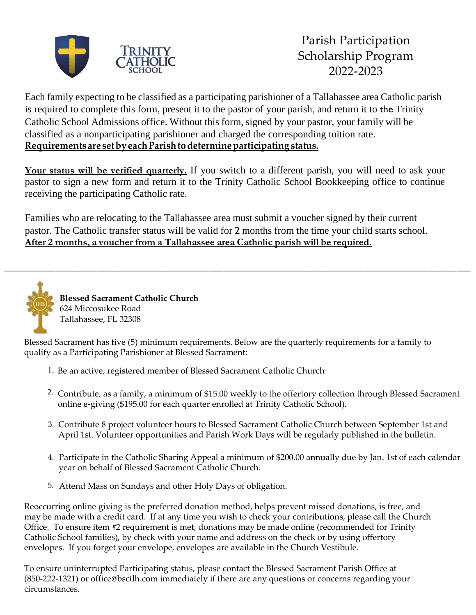

Each family expecting to be classified as a participating parishioner of a Tallahassee area Catholic parish is required to complete this form, present it to the pastor of your parish, and return it to the Trinity Catholic School Admissions office. Without this form, signed by your pastor, your family will be classified as a nonparticipating parishioner and charged the corresponding tuition rate. **Requirements are set byeach Parish todetermine participating status.**

**Your status will be verified quarterly.** If you switch to a different parish, you will need to ask your pastor to sign a new form and return it to the Trinity Catholic School Bookkeeping office to continue receiving the participating Catholic rate.

Families who are relocating to the Tallahassee area must submit a voucher signed by their current pastor. The Catholic transfer status will be valid for 2 months from the time your child starts school. **After 2 months, a voucher from a Tallahassee area Catholic parish will be required.**

\_\_\_\_\_\_\_\_\_\_\_\_\_\_\_\_\_\_\_\_\_\_\_\_\_\_\_\_\_\_\_\_\_\_\_\_\_\_\_\_\_\_\_\_\_\_\_\_\_\_\_\_\_\_\_\_\_\_\_\_\_\_\_\_\_\_\_\_\_\_\_\_\_\_\_\_\_\_\_\_\_\_\_\_\_\_\_\_\_\_\_\_\_\_\_\_\_\_\_\_



**Blessed Sacrament Catholic Church** 624 Miccosukee Road Tallahassee, FL 32308

Blessed Sacrament has five (5) minimum requirements. Below are the quarterly requirements for a family to qualify as a Participating Parishioner at Blessed Sacrament:

- 1. Be an active, registered member of Blessed Sacrament Catholic Church
- 2. Contribute, as a family, a minimum of \$15.00 weekly to the offertory collection through Blessed Sacrament online e-giving (\$195.00 for each quarter enrolled at Trinity Catholic School).
- 3. Contribute 8 project volunteer hours to Blessed Sacrament Catholic Church between September 1st and April 1st. Volunteer opportunities and Parish Work Days will be regularly published in the bulletin.
- 4. Participate in the Catholic Sharing Appeal a minimum of \$200.00 annually due by Jan. 1st of each calendar year on behalf of Blessed Sacrament Catholic Church.
- 5. Attend Mass on Sundays and other Holy Days of obligation.

Reoccurring online giving is the preferred donation method, helps prevent missed donations, is free, and may be made with a credit card. If at any time you wish to check your contributions, please call the Church Office. To ensure item #2 requirement is met, donations may be made online (recommended for Trinity Catholic School families), by check with your name and address on the check or by using offertory envelopes. If you forget your envelope, envelopes are available in the Church Vestibule.

To ensure uninterrupted Participating status, please contact the Blessed Sacrament Parish Office at (850-2[22-1321\) or office@bsctlh.com](mailto:office@bsctlh.com) immediately if there are any questions or concerns regarding your circumstances.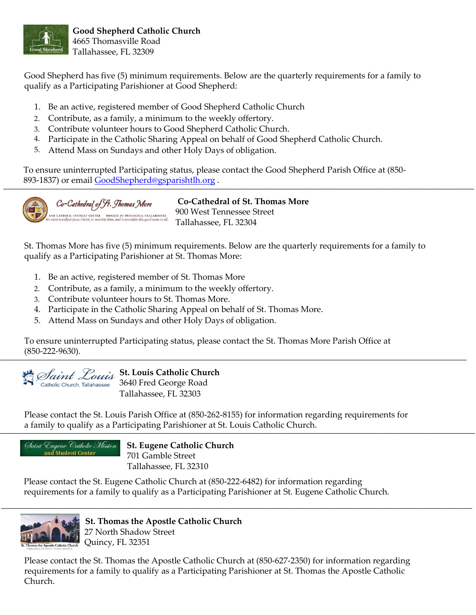

Good Shepherd has five (5) minimum requirements. Below are the quarterly requirements for a family to qualify as a Participating Parishioner at Good Shepherd:

- 1. Be an active, registered member of Good Shepherd Catholic Church
- 2. Contribute, as a family, a minimum to the weekly offertory.
- 3. Contribute volunteer hours to Good Shepherd Catholic Church.
- 4. Participate in the Catholic Sharing Appeal on behalf of Good Shepherd Catholic Church.
- 5. Attend Mass on Sundays and other Holy Days of obligation.

To ensure uninterrupted Participating status, please contact the Good Shepherd Parish Office at (850- 893-1837) or email [GoodShepherd@gsparishtlh.org](mailto:GoodShepherd@gsparishtlh.org) . \_\_\_\_\_\_\_\_\_\_\_\_\_\_\_\_\_\_\_\_\_\_\_\_\_\_\_\_\_\_\_\_\_\_\_\_\_\_\_\_\_\_\_\_\_\_\_\_\_\_\_\_\_\_\_\_\_\_\_\_\_\_\_\_\_\_\_\_\_\_\_\_\_\_\_\_\_\_\_\_\_\_\_\_\_\_\_\_\_\_\_\_\_\_\_\_\_\_\_\_\_



Co-Cathedral of St. Thomas More AND CATHOLIC STUDENT CENTER<br>| exist to reflect Jesus Christ, to worship Him, and to proclaim His good news to all

**Co-Cathedral of St. Thomas More** 900 West Tennessee Street Tallahassee, FL 32304

St. Thomas More has five (5) minimum requirements. Below are the quarterly requirements for a family to qualify as a Participating Parishioner at St. Thomas More:

- 1. Be an active, registered member of St. Thomas More
- 2. Contribute, as a family, a minimum to the weekly offertory.
- 3. Contribute volunteer hours to St. Thomas More.
- 4. Participate in the Catholic Sharing Appeal on behalf of St. Thomas More.
- 5. Attend Mass on Sundays and other Holy Days of obligation.

To ensure uninterrupted Participating status, please contact the St. Thomas More Parish Office at (850-222-9630).  $(-0.0022222900).$ 



Saint Louis St. Louis Catholic Church 3640 Fred George Road Tallahassee, FL 32303

Please contact the St. Louis Parish Office at (850-262-8155) for information regarding requirements for a family to qualify as a Participating Parishioner at St. Louis Catholic Church.



 **St. Eugene Catholic Church** 701 Gamble Street Tallahassee, FL 32310

Please contact the St. Eugene Catholic Church at (850-222-6482) for information regarding requirements for a family to qualify as a Participating Parishioner at St. Eugene Catholic Church.



 **St. Thomas the Apostle Catholic Church** 27 North Shadow Street Quincy, FL 32351

Please contact the St. Thomas the Apostle Catholic Church at (850-627-2350) for information regarding requirements for a family to qualify as a Participating Parishioner at St. Thomas the Apostle Catholic Church.

\_\_\_\_\_\_\_\_\_\_\_\_\_\_\_\_\_\_\_\_\_\_\_\_\_\_\_\_\_\_\_\_\_\_\_\_\_\_\_\_\_\_\_\_\_\_\_\_\_\_\_\_\_\_\_\_\_\_\_\_\_\_\_\_\_\_\_\_\_\_\_\_\_\_\_\_\_\_\_\_\_\_\_\_\_\_\_\_\_\_\_\_\_\_\_\_\_\_\_\_\_